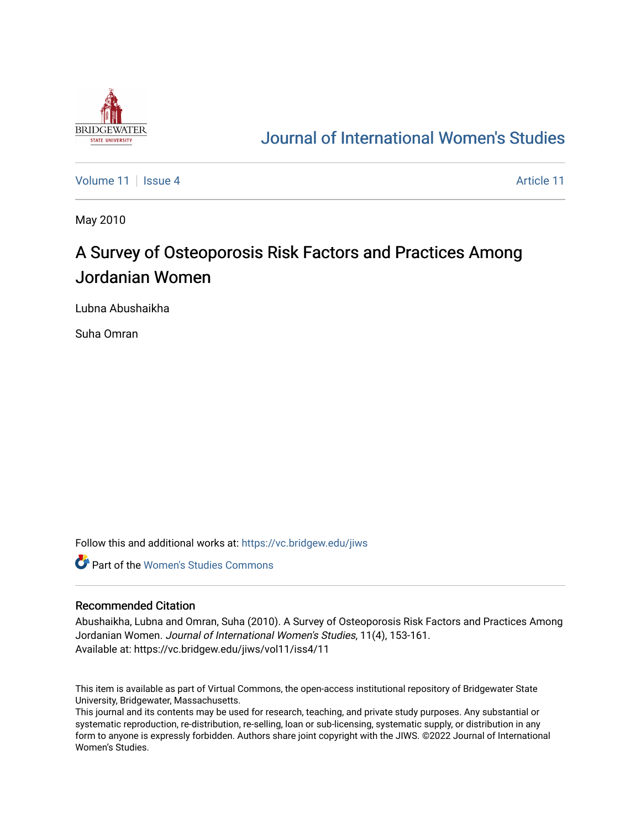

## [Journal of International Women's Studies](https://vc.bridgew.edu/jiws)

[Volume 11](https://vc.bridgew.edu/jiws/vol11) | [Issue 4](https://vc.bridgew.edu/jiws/vol11/iss4) [Article 11](https://vc.bridgew.edu/jiws/vol11/iss4/11) | Article 11 | Article 11 | Article 11 | Article 11

May 2010

# A Survey of Osteoporosis Risk Factors and Practices Among Jordanian Women

Lubna Abushaikha

Suha Omran

Follow this and additional works at: [https://vc.bridgew.edu/jiws](https://vc.bridgew.edu/jiws?utm_source=vc.bridgew.edu%2Fjiws%2Fvol11%2Fiss4%2F11&utm_medium=PDF&utm_campaign=PDFCoverPages)

**C** Part of the Women's Studies Commons

#### Recommended Citation

Abushaikha, Lubna and Omran, Suha (2010). A Survey of Osteoporosis Risk Factors and Practices Among Jordanian Women. Journal of International Women's Studies, 11(4), 153-161. Available at: https://vc.bridgew.edu/jiws/vol11/iss4/11

This item is available as part of Virtual Commons, the open-access institutional repository of Bridgewater State University, Bridgewater, Massachusetts.

This journal and its contents may be used for research, teaching, and private study purposes. Any substantial or systematic reproduction, re-distribution, re-selling, loan or sub-licensing, systematic supply, or distribution in any form to anyone is expressly forbidden. Authors share joint copyright with the JIWS. ©2022 Journal of International Women's Studies.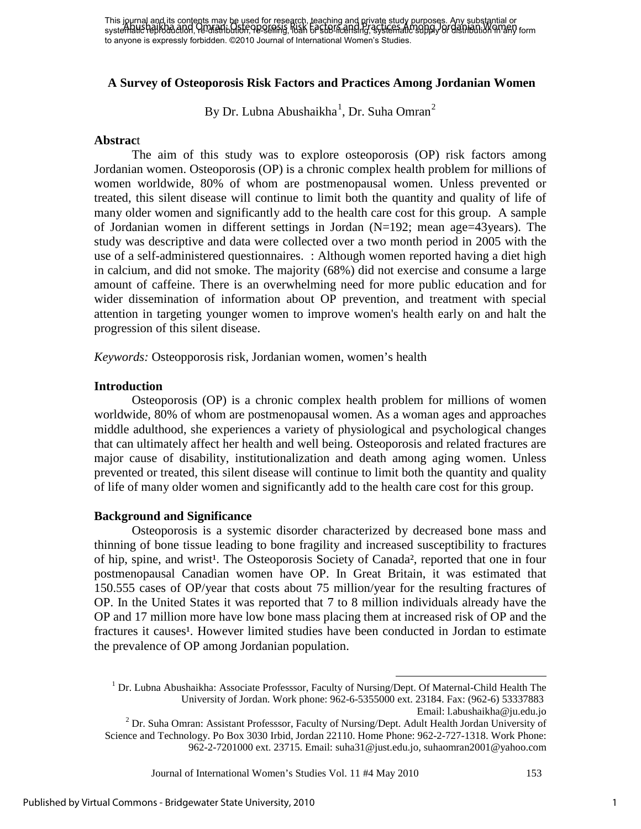This journal and its contents may be used for research, teaching and private study purposes. Any substantial or was young and he content in the creation of the selling, selling and practices Among Jordan in any form in or<br>systematic reproduction, re-distribution, researnig, Nak 67 stormed in Aystematic supply or distribution in any to anyone is expressly forbidden. ©2010 Journal of International Women's Studies.

#### **A Survey of Osteoporosis Risk Factors and Practices Among Jordanian Women**

By Dr. Lubna Abushaikha<sup>1</sup>, Dr. Suha Omran<sup>2</sup>

#### **Abstrac**t

The aim of this study was to explore osteoporosis (OP) risk factors among Jordanian women. Osteoporosis (OP) is a chronic complex health problem for millions of women worldwide, 80% of whom are postmenopausal women. Unless prevented or treated, this silent disease will continue to limit both the quantity and quality of life of many older women and significantly add to the health care cost for this group. A sample of Jordanian women in different settings in Jordan (N=192; mean age=43years). The study was descriptive and data were collected over a two month period in 2005 with the use of a self-administered questionnaires. : Although women reported having a diet high in calcium, and did not smoke. The majority (68%) did not exercise and consume a large amount of caffeine. There is an overwhelming need for more public education and for wider dissemination of information about OP prevention, and treatment with special attention in targeting younger women to improve women's health early on and halt the progression of this silent disease.

*Keywords:* Osteopporosis risk, Jordanian women, women's health

#### **Introduction**

Osteoporosis (OP) is a chronic complex health problem for millions of women worldwide, 80% of whom are postmenopausal women. As a woman ages and approaches middle adulthood, she experiences a variety of physiological and psychological changes that can ultimately affect her health and well being. Osteoporosis and related fractures are major cause of disability, institutionalization and death among aging women. Unless prevented or treated, this silent disease will continue to limit both the quantity and quality of life of many older women and significantly add to the health care cost for this group.

#### **Background and Significance**

Osteoporosis is a systemic disorder characterized by decreased bone mass and thinning of bone tissue leading to bone fragility and increased susceptibility to fractures of hip, spine, and wrist<sup>1</sup>. The Osteoporosis Society of Canada<sup>2</sup>, reported that one in four postmenopausal Canadian women have OP. In Great Britain, it was estimated that 150.555 cases of OP/year that costs about 75 million/year for the resulting fractures of OP. In the United States it was reported that 7 to 8 million individuals already have the OP and 17 million more have low bone mass placing them at increased risk of OP and the fractures it causes<sup>1</sup>. However limited studies have been conducted in Jordan to estimate the prevalence of OP among Jordanian population.

Journal of International Women's Studies Vol. 11 #4 May 2010 153

 $1$  Dr. Lubna Abushaikha: Associate Professsor, Faculty of Nursing/Dept. Of Maternal-Child Health The University of Jordan. Work phone: 962-6-5355000 ext. 23184. Fax: (962-6) 53337883

Email: l.abushaikha@ju.edu.jo <sup>2</sup> Dr. Suha Omran: Assistant Professsor, Faculty of Nursing/Dept. Adult Health Jordan University of Science and Technology. Po Box 3030 Irbid, Jordan 22110. Home Phone: 962-2-727-1318. Work Phone: 962-2-7201000 ext. 23715. Email: suha31@just.edu.jo, suhaomran2001@yahoo.com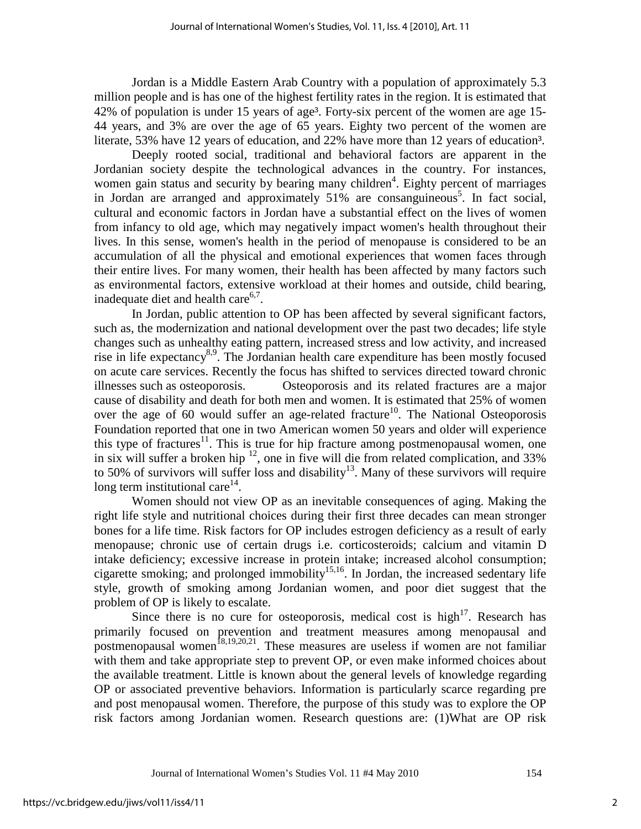Jordan is a Middle Eastern Arab Country with a population of approximately 5.3 million people and is has one of the highest fertility rates in the region. It is estimated that 42% of population is under 15 years of age<sup>3</sup>. Forty-six percent of the women are age 15-44 years, and 3% are over the age of 65 years. Eighty two percent of the women are literate, 53% have 12 years of education, and 22% have more than 12 years of education<sup>3</sup>.

 Deeply rooted social, traditional and behavioral factors are apparent in the Jordanian society despite the technological advances in the country. For instances, women gain status and security by bearing many children<sup>4</sup>. Eighty percent of marriages in Jordan are arranged and approximately 51% are consanguineous<sup>5</sup>. In fact social, cultural and economic factors in Jordan have a substantial effect on the lives of women from infancy to old age, which may negatively impact women's health throughout their lives. In this sense, women's health in the period of menopause is considered to be an accumulation of all the physical and emotional experiences that women faces through their entire lives. For many women, their health has been affected by many factors such as environmental factors, extensive workload at their homes and outside, child bearing, inadequate diet and health care $6,7$ .

In Jordan, public attention to OP has been affected by several significant factors, such as, the modernization and national development over the past two decades; life style changes such as unhealthy eating pattern, increased stress and low activity, and increased rise in life expectancy<sup>8,9</sup>. The Jordanian health care expenditure has been mostly focused on acute care services. Recently the focus has shifted to services directed toward chronic illnesses such as osteoporosis. Osteoporosis and its related fractures are a major cause of disability and death for both men and women. It is estimated that 25% of women over the age of 60 would suffer an age-related fracture<sup>10</sup>. The National Osteoporosis Foundation reported that one in two American women 50 years and older will experience this type of fractures<sup>11</sup>. This is true for hip fracture among postmenopausal women, one in six will suffer a broken hip  $^{12}$ , one in five will die from related complication, and 33% to 50% of survivors will suffer loss and disability<sup>13</sup>. Many of these survivors will require long term institutional care $14$ .

Women should not view OP as an inevitable consequences of aging. Making the right life style and nutritional choices during their first three decades can mean stronger bones for a life time. Risk factors for OP includes estrogen deficiency as a result of early menopause; chronic use of certain drugs i.e. corticosteroids; calcium and vitamin D intake deficiency; excessive increase in protein intake; increased alcohol consumption; cigarette smoking; and prolonged immobility<sup>15,16</sup>. In Jordan, the increased sedentary life style, growth of smoking among Jordanian women, and poor diet suggest that the problem of OP is likely to escalate.

Since there is no cure for osteoporosis, medical cost is high $17$ . Research has primarily focused on prevention and treatment measures among menopausal and postmenopausal women<sup>18,19,20,21</sup>. These measures are useless if women are not familiar with them and take appropriate step to prevent OP, or even make informed choices about the available treatment. Little is known about the general levels of knowledge regarding OP or associated preventive behaviors. Information is particularly scarce regarding pre and post menopausal women. Therefore, the purpose of this study was to explore the OP risk factors among Jordanian women. Research questions are: (1)What are OP risk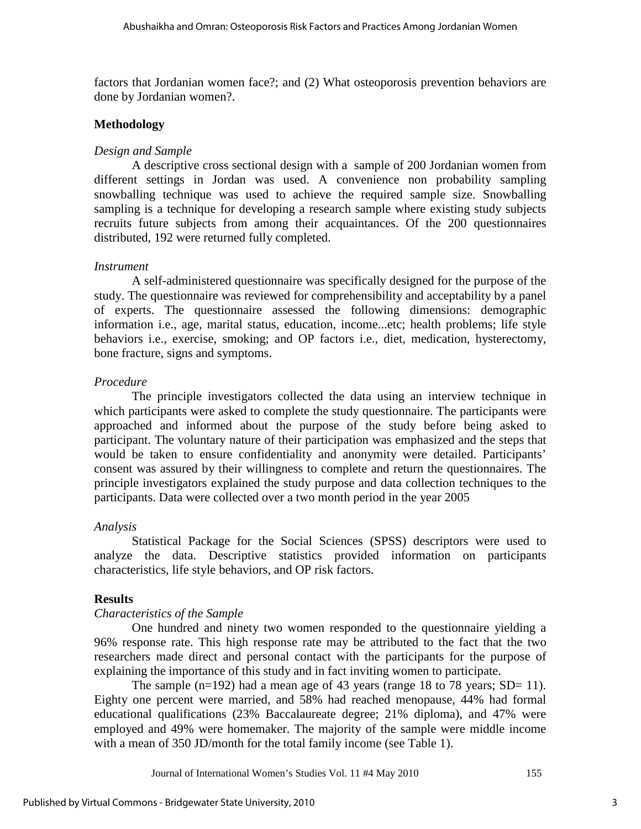factors that Jordanian women face?; and (2) What osteoporosis prevention behaviors are done by Jordanian women?.

#### **Methodology**

#### *Design and Sample*

A descriptive cross sectional design with a sample of 200 Jordanian women from different settings in Jordan was used. A convenience non probability sampling snowballing technique was used to achieve the required sample size. Snowballing sampling is a technique for developing a research sample where existing study subjects recruits future subjects from among their acquaintances. Of the 200 questionnaires distributed, 192 were returned fully completed.

#### *Instrument*

 A self-administered questionnaire was specifically designed for the purpose of the study. The questionnaire was reviewed for comprehensibility and acceptability by a panel of experts. The questionnaire assessed the following dimensions: demographic information i.e., age, marital status, education, income...etc; health problems; life style behaviors i.e., exercise, smoking; and OP factors i.e., diet, medication, hysterectomy, bone fracture, signs and symptoms.

#### *Procedure*

The principle investigators collected the data using an interview technique in which participants were asked to complete the study questionnaire. The participants were approached and informed about the purpose of the study before being asked to participant. The voluntary nature of their participation was emphasized and the steps that would be taken to ensure confidentiality and anonymity were detailed. Participants' consent was assured by their willingness to complete and return the questionnaires. The principle investigators explained the study purpose and data collection techniques to the participants. Data were collected over a two month period in the year 2005

#### *Analysis*

Statistical Package for the Social Sciences (SPSS) descriptors were used to analyze the data. Descriptive statistics provided information on participants characteristics, life style behaviors, and OP risk factors.

#### **Results**

### *Characteristics of the Sample*

One hundred and ninety two women responded to the questionnaire yielding a 96% response rate. This high response rate may be attributed to the fact that the two researchers made direct and personal contact with the participants for the purpose of explaining the importance of this study and in fact inviting women to participate.

The sample  $(n=192)$  had a mean age of 43 years (range 18 to 78 years; SD= 11). Eighty one percent were married, and 58% had reached menopause, 44% had formal educational qualifications (23% Baccalaureate degree; 21% diploma), and 47% were employed and 49% were homemaker. The majority of the sample were middle income with a mean of 350 JD/month for the total family income (see Table 1).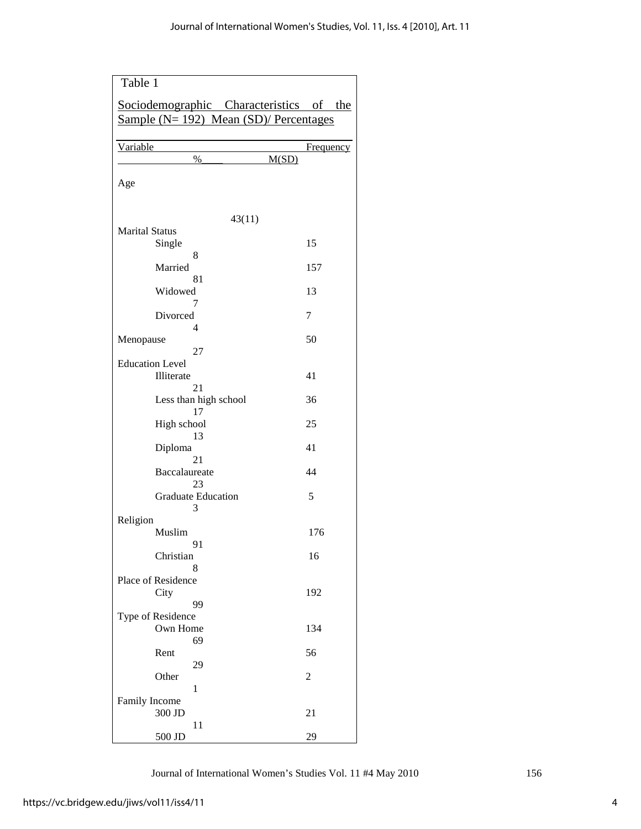| Table 1                                   |                    |
|-------------------------------------------|--------------------|
| Sociodemographic Characteristics of the   |                    |
| Sample $(N=192)$ Mean $(SD)/$ Percentages |                    |
|                                           |                    |
| Variable<br>$\%$                          | Frequency<br>M(SD) |
|                                           |                    |
| Age                                       |                    |
|                                           |                    |
| 43(11)                                    |                    |
| <b>Marital Status</b>                     |                    |
| Single                                    | 15                 |
| 8<br>Married                              | 157                |
| 81                                        |                    |
| Widowed                                   | 13                 |
| 7<br>Divorced                             | 7                  |
| 4                                         |                    |
| Menopause                                 | 50                 |
| 27                                        |                    |
| <b>Education Level</b>                    |                    |
| Illiterate<br>21                          | 41                 |
| Less than high school                     | 36                 |
| 17                                        |                    |
| High school                               | 25                 |
| 13<br>Diploma                             | 41                 |
| 21                                        |                    |
| Baccalaureate                             | 44                 |
| 23                                        |                    |
| <b>Graduate Education</b><br>3            | 5                  |
| Religion                                  |                    |
| Muslim                                    | 176                |
| 91                                        |                    |
| Christian<br>8                            | 16                 |
| Place of Residence                        |                    |
| City                                      | 192                |
| 99                                        |                    |
| Type of Residence                         |                    |
| Own Home<br>69                            | 134                |
| Rent                                      | 56                 |
| 29                                        |                    |
| Other                                     | 2                  |
| 1<br>Family Income                        |                    |
| 300 JD                                    | 21                 |
| 11                                        |                    |
| 500 JD                                    | 29                 |

Journal of International Women's Studies Vol. 11 #4 May 2010 156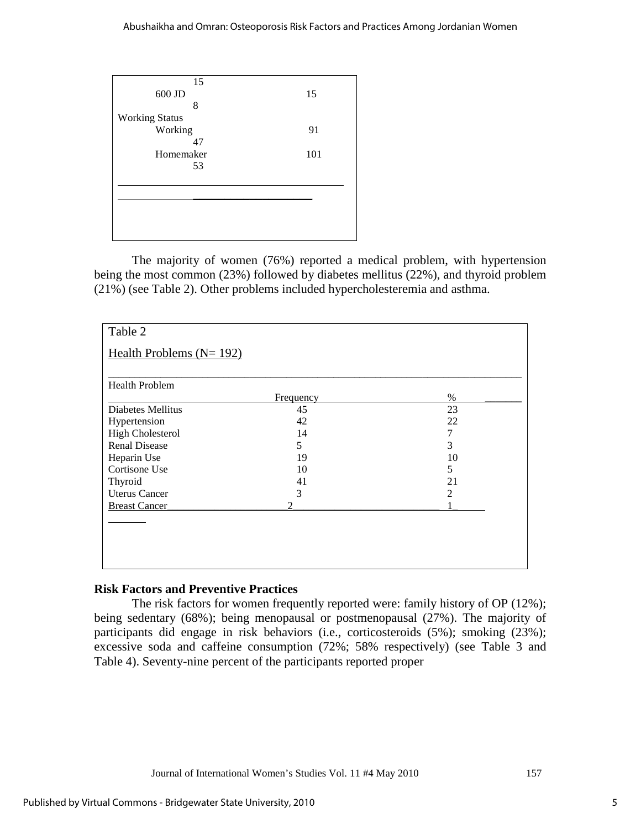| 15                    |     |
|-----------------------|-----|
| 600 JD                | 15  |
| 8                     |     |
| <b>Working Status</b> |     |
| Working               | 91  |
| 47                    |     |
| Homemaker             | 101 |
| 53                    |     |
|                       |     |
|                       |     |
|                       |     |
|                       |     |
|                       |     |
|                       |     |

The majority of women (76%) reported a medical problem, with hypertension being the most common (23%) followed by diabetes mellitus (22%), and thyroid problem (21%) (see Table 2). Other problems included hypercholesteremia and asthma.

| <b>Health Problem</b>   |               |      |
|-------------------------|---------------|------|
|                         | Frequency     | $\%$ |
| Diabetes Mellitus       | 45            | 23   |
| Hypertension            | 42            | 22   |
| <b>High Cholesterol</b> | 14            | 7    |
| <b>Renal Disease</b>    | 5             | 3    |
| Heparin Use             | 19            | 10   |
| Cortisone Use           | 10            | 5    |
| Thyroid                 | 41            | 21   |
| <b>Uterus Cancer</b>    | 3             | 2    |
| <b>Breast Cancer</b>    | $\mathcal{D}$ |      |

## **Risk Factors and Preventive Practices**

The risk factors for women frequently reported were: family history of OP (12%); being sedentary (68%); being menopausal or postmenopausal (27%). The majority of participants did engage in risk behaviors (i.e., corticosteroids (5%); smoking (23%); excessive soda and caffeine consumption (72%; 58% respectively) (see Table 3 and Table 4). Seventy-nine percent of the participants reported proper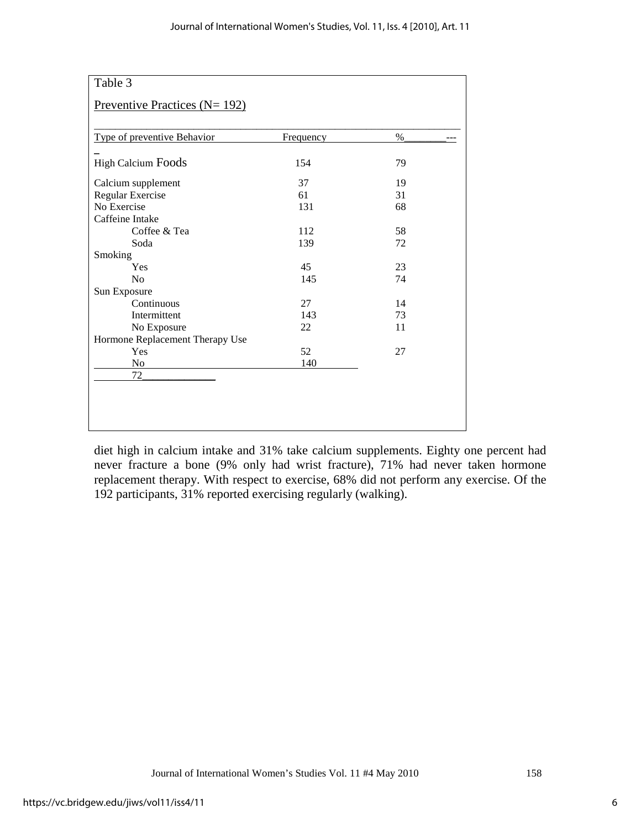| Type of preventive Behavior     | Frequency | %  |
|---------------------------------|-----------|----|
|                                 |           |    |
| <b>High Calcium Foods</b>       | 154       | 79 |
| Calcium supplement              | 37        | 19 |
| Regular Exercise                | 61        | 31 |
| No Exercise                     | 131       | 68 |
| Caffeine Intake                 |           |    |
| Coffee & Tea                    | 112       | 58 |
| Soda                            | 139       | 72 |
| Smoking                         |           |    |
| Yes                             | 45        | 23 |
| N <sub>0</sub>                  | 145       | 74 |
| Sun Exposure                    |           |    |
| Continuous                      | 27        | 14 |
| Intermittent                    | 143       | 73 |
| No Exposure                     | 22        | 11 |
| Hormone Replacement Therapy Use |           |    |
| Yes                             | 52        | 27 |
| No                              | 140       |    |
| 72                              |           |    |

diet high in calcium intake and 31% take calcium supplements. Eighty one percent had never fracture a bone (9% only had wrist fracture), 71% had never taken hormone replacement therapy. With respect to exercise, 68% did not perform any exercise. Of the 192 participants, 31% reported exercising regularly (walking).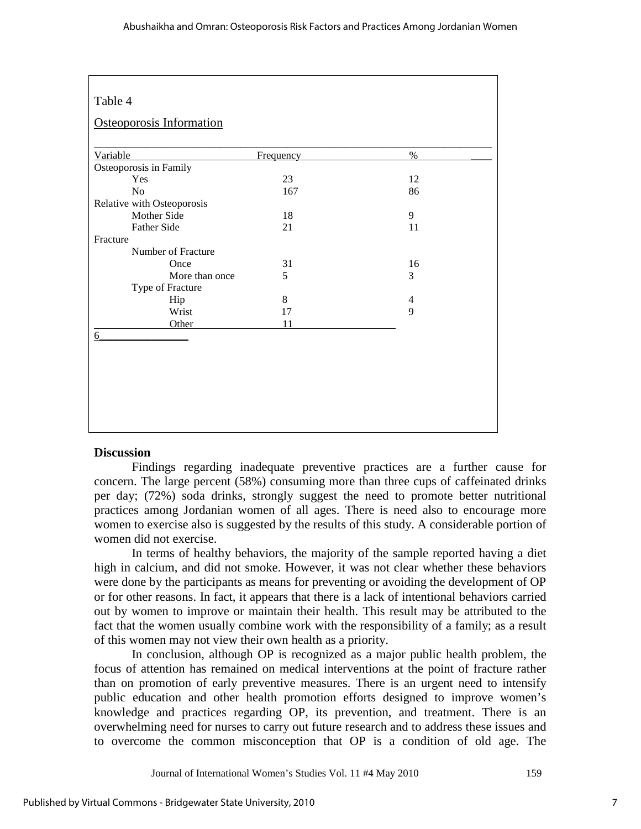| 'able |  |
|-------|--|
|-------|--|

## *8B*Osteoporosis Information

| Osteoporosis in Family<br>Yes<br>23<br>12<br>86<br>N <sub>o</sub><br>167<br>Mother Side<br>9<br>18<br>Father Side<br>21<br>11<br>Number of Fracture<br>31<br>16<br>Once<br>3<br>More than once<br>5<br>Type of Fracture<br>8<br>Hip<br>4<br>9<br>Wrist<br>17<br>Other<br>11 | Variable | Frequency | $\%$ |
|-----------------------------------------------------------------------------------------------------------------------------------------------------------------------------------------------------------------------------------------------------------------------------|----------|-----------|------|
| Relative with Osteoporosis                                                                                                                                                                                                                                                  |          |           |      |
|                                                                                                                                                                                                                                                                             |          |           |      |
|                                                                                                                                                                                                                                                                             |          |           |      |
|                                                                                                                                                                                                                                                                             |          |           |      |
|                                                                                                                                                                                                                                                                             |          |           |      |
|                                                                                                                                                                                                                                                                             |          |           |      |
|                                                                                                                                                                                                                                                                             | Fracture |           |      |
|                                                                                                                                                                                                                                                                             |          |           |      |
|                                                                                                                                                                                                                                                                             |          |           |      |
|                                                                                                                                                                                                                                                                             |          |           |      |
|                                                                                                                                                                                                                                                                             |          |           |      |
|                                                                                                                                                                                                                                                                             |          |           |      |
|                                                                                                                                                                                                                                                                             |          |           |      |
|                                                                                                                                                                                                                                                                             |          |           |      |
|                                                                                                                                                                                                                                                                             | 6        |           |      |
|                                                                                                                                                                                                                                                                             |          |           |      |
|                                                                                                                                                                                                                                                                             |          |           |      |
|                                                                                                                                                                                                                                                                             |          |           |      |
|                                                                                                                                                                                                                                                                             |          |           |      |
|                                                                                                                                                                                                                                                                             |          |           |      |
|                                                                                                                                                                                                                                                                             |          |           |      |

#### **Discussion**

Findings regarding inadequate preventive practices are a further cause for concern. The large percent (58%) consuming more than three cups of caffeinated drinks per day; (72%) soda drinks, strongly suggest the need to promote better nutritional practices among Jordanian women of all ages. There is need also to encourage more women to exercise also is suggested by the results of this study. A considerable portion of women did not exercise.

In terms of healthy behaviors, the majority of the sample reported having a diet high in calcium, and did not smoke. However, it was not clear whether these behaviors were done by the participants as means for preventing or avoiding the development of OP or for other reasons. In fact, it appears that there is a lack of intentional behaviors carried out by women to improve or maintain their health. This result may be attributed to the fact that the women usually combine work with the responsibility of a family; as a result of this women may not view their own health as a priority.

In conclusion, although OP is recognized as a major public health problem, the focus of attention has remained on medical interventions at the point of fracture rather than on promotion of early preventive measures. There is an urgent need to intensify public education and other health promotion efforts designed to improve women's knowledge and practices regarding OP, its prevention, and treatment. There is an overwhelming need for nurses to carry out future research and to address these issues and to overcome the common misconception that OP is a condition of old age. The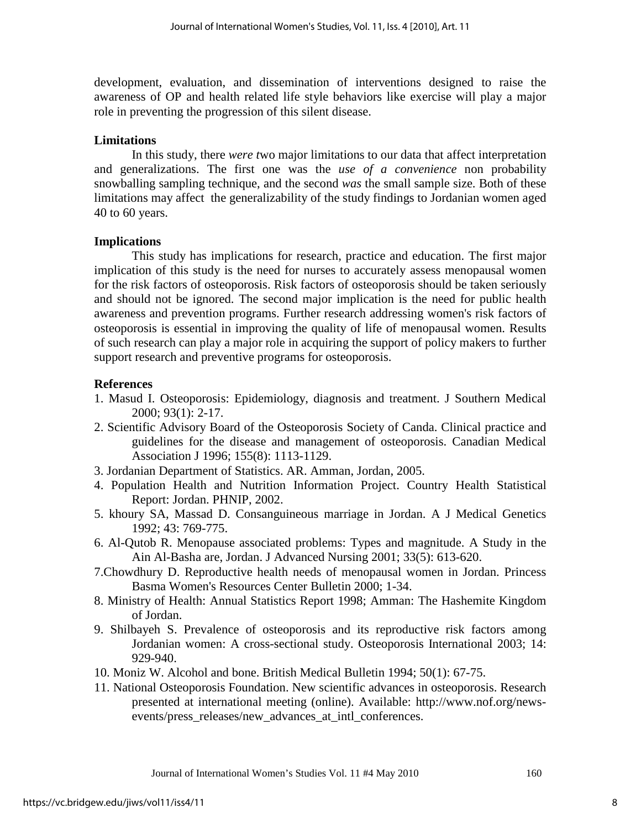development, evaluation, and dissemination of interventions designed to raise the awareness of OP and health related life style behaviors like exercise will play a major role in preventing the progression of this silent disease.

## **Limitations**

 In this study, there *were t*wo major limitations to our data that affect interpretation and generalizations. The first one was the *use of a convenience* non probability snowballing sampling technique, and the second *was* the small sample size. Both of these limitations may affect the generalizability of the study findings to Jordanian women aged 40 to 60 years.

## **Implications**

This study has implications for research, practice and education. The first major implication of this study is the need for nurses to accurately assess menopausal women for the risk factors of osteoporosis. Risk factors of osteoporosis should be taken seriously and should not be ignored. The second major implication is the need for public health awareness and prevention programs. Further research addressing women's risk factors of osteoporosis is essential in improving the quality of life of menopausal women. Results of such research can play a major role in acquiring the support of policy makers to further support research and preventive programs for osteoporosis.

## **References**

- 1. Masud I. Osteoporosis: Epidemiology, diagnosis and treatment. J Southern Medical 2000; 93(1): 2-17.
- 2. Scientific Advisory Board of the Osteoporosis Society of Canda. Clinical practice and guidelines for the disease and management of osteoporosis. Canadian Medical Association J 1996; 155(8): 1113-1129.
- 3. Jordanian Department of Statistics. AR. Amman, Jordan, 2005.
- 4. Population Health and Nutrition Information Project. Country Health Statistical Report: Jordan. PHNIP, 2002.
- 5. khoury SA, Massad D. Consanguineous marriage in Jordan. A J Medical Genetics 1992; 43: 769-775.
- 6. Al-Qutob R. Menopause associated problems: Types and magnitude. A Study in the Ain Al-Basha are, Jordan. J Advanced Nursing 2001; 33(5): 613-620.
- 7.Chowdhury D. Reproductive health needs of menopausal women in Jordan. Princess Basma Women's Resources Center Bulletin 2000; 1-34.
- 8. Ministry of Health: Annual Statistics Report 1998; Amman: The Hashemite Kingdom of Jordan.
- 9. Shilbayeh S. Prevalence of osteoporosis and its reproductive risk factors among Jordanian women: A cross-sectional study. Osteoporosis International 2003; 14: 929-940.
- 10. Moniz W. Alcohol and bone. British Medical Bulletin 1994; 50(1): 67-75.
- 11. National Osteoporosis Foundation. New scientific advances in osteoporosis. Research presented at international meeting (online). Available: http://www.nof.org/newsevents/press\_releases/new\_advances\_at\_intl\_conferences.